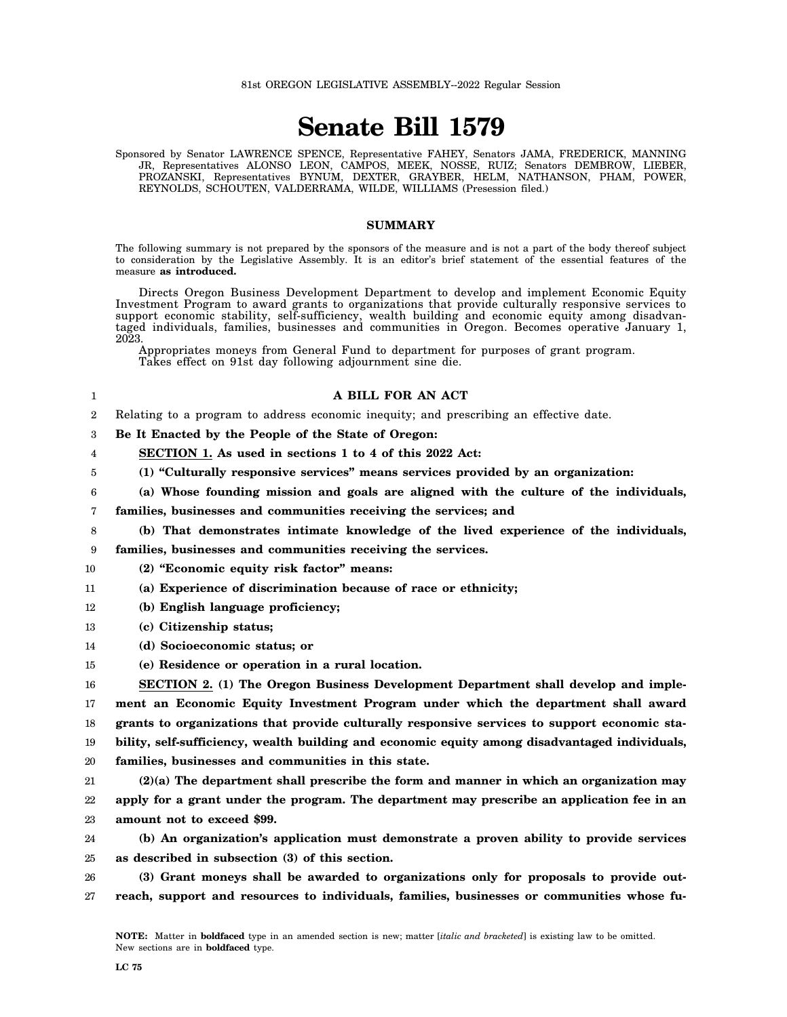# **Senate Bill 1579**

Sponsored by Senator LAWRENCE SPENCE, Representative FAHEY, Senators JAMA, FREDERICK, MANNING JR, Representatives ALONSO LEON, CAMPOS, MEEK, NOSSE, RUIZ; Senators DEMBROW, LIEBER, PROZANSKI, Representatives BYNUM, DEXTER, GRAYBER, HELM, NATHANSON, PHAM, POWER, REYNOLDS, SCHOUTEN, VALDERRAMA, WILDE, WILLIAMS (Presession filed.)

#### **SUMMARY**

The following summary is not prepared by the sponsors of the measure and is not a part of the body thereof subject to consideration by the Legislative Assembly. It is an editor's brief statement of the essential features of the measure **as introduced.**

Directs Oregon Business Development Department to develop and implement Economic Equity Investment Program to award grants to organizations that provide culturally responsive services to support economic stability, self-sufficiency, wealth building and economic equity among disadvantaged individuals, families, businesses and communities in Oregon. Becomes operative January 1, 2023.

Appropriates moneys from General Fund to department for purposes of grant program. Takes effect on 91st day following adjournment sine die.

## **A BILL FOR AN ACT**

 $\Omega$ Relating to a program to address economic inequity; and prescribing an effective date.

3 **Be It Enacted by the People of the State of Oregon:**

4 **SECTION 1. As used in sections 1 to 4 of this 2022 Act:**

- 5 **(1) "Culturally responsive services" means services provided by an organization:**
- 6 **(a) Whose founding mission and goals are aligned with the culture of the individuals,**

7 **families, businesses and communities receiving the services; and**

**(b) That demonstrates intimate knowledge of the lived experience of the individuals,**

9 **families, businesses and communities receiving the services.**

- 10 **(2) "Economic equity risk factor" means:**
- 11 **(a) Experience of discrimination because of race or ethnicity;**
- 12 **(b) English language proficiency;**
- 13 **(c) Citizenship status;**

1

8

- 14 **(d) Socioeconomic status; or**
- 15 **(e) Residence or operation in a rural location.**

16 17 18 **SECTION 2. (1) The Oregon Business Development Department shall develop and implement an Economic Equity Investment Program under which the department shall award grants to organizations that provide culturally responsive services to support economic sta-**

19 **bility, self-sufficiency, wealth building and economic equity among disadvantaged individuals,**

20 **families, businesses and communities in this state.**

21 22 23 **(2)(a) The department shall prescribe the form and manner in which an organization may apply for a grant under the program. The department may prescribe an application fee in an amount not to exceed \$99.**

24 25 **(b) An organization's application must demonstrate a proven ability to provide services as described in subsection (3) of this section.**

26 27 **(3) Grant moneys shall be awarded to organizations only for proposals to provide outreach, support and resources to individuals, families, businesses or communities whose fu-**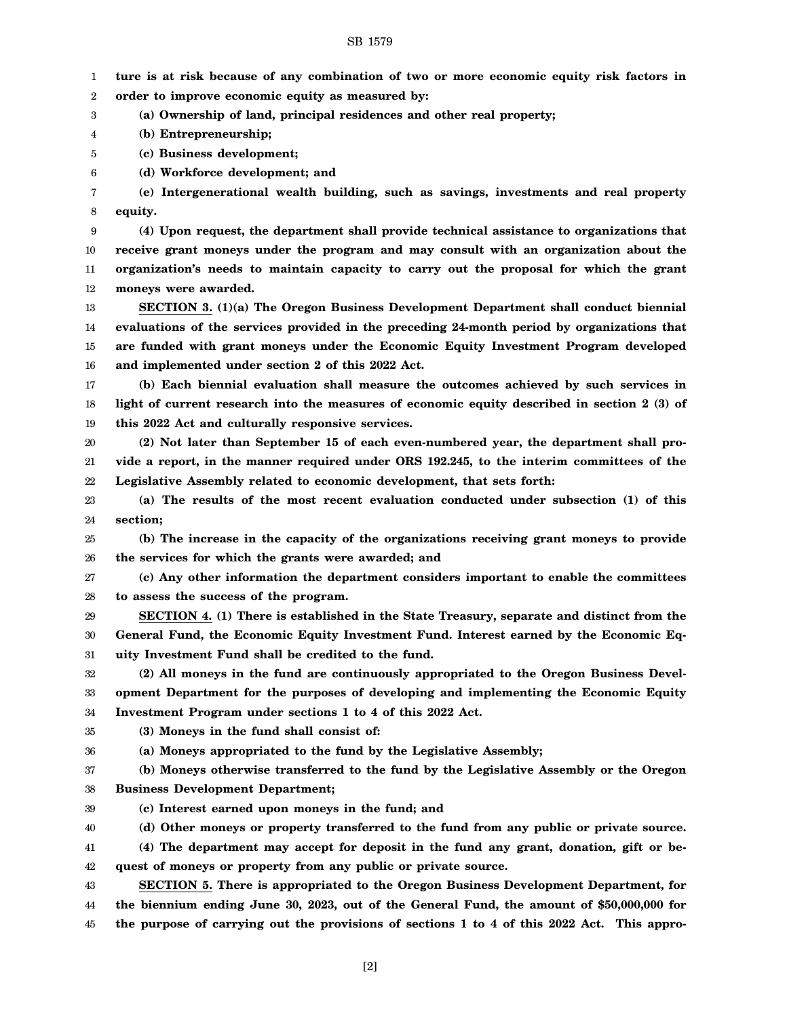#### SB 1579

1 2 3 4 5 6 7 8 9 10 11 12 13 14 15 16 17 18 19 20 21 22 23 24 25 26 27 28 29 30 31 32 33 34 35 36 37 38 39 40 41 42 43 44 **ture is at risk because of any combination of two or more economic equity risk factors in order to improve economic equity as measured by: (a) Ownership of land, principal residences and other real property; (b) Entrepreneurship; (c) Business development; (d) Workforce development; and (e) Intergenerational wealth building, such as savings, investments and real property equity. (4) Upon request, the department shall provide technical assistance to organizations that receive grant moneys under the program and may consult with an organization about the organization's needs to maintain capacity to carry out the proposal for which the grant moneys were awarded. SECTION 3. (1)(a) The Oregon Business Development Department shall conduct biennial evaluations of the services provided in the preceding 24-month period by organizations that are funded with grant moneys under the Economic Equity Investment Program developed and implemented under section 2 of this 2022 Act. (b) Each biennial evaluation shall measure the outcomes achieved by such services in light of current research into the measures of economic equity described in section 2 (3) of this 2022 Act and culturally responsive services. (2) Not later than September 15 of each even-numbered year, the department shall provide a report, in the manner required under ORS 192.245, to the interim committees of the Legislative Assembly related to economic development, that sets forth: (a) The results of the most recent evaluation conducted under subsection (1) of this section; (b) The increase in the capacity of the organizations receiving grant moneys to provide the services for which the grants were awarded; and (c) Any other information the department considers important to enable the committees to assess the success of the program. SECTION 4. (1) There is established in the State Treasury, separate and distinct from the General Fund, the Economic Equity Investment Fund. Interest earned by the Economic Equity Investment Fund shall be credited to the fund. (2) All moneys in the fund are continuously appropriated to the Oregon Business Development Department for the purposes of developing and implementing the Economic Equity Investment Program under sections 1 to 4 of this 2022 Act. (3) Moneys in the fund shall consist of: (a) Moneys appropriated to the fund by the Legislative Assembly; (b) Moneys otherwise transferred to the fund by the Legislative Assembly or the Oregon Business Development Department; (c) Interest earned upon moneys in the fund; and (d) Other moneys or property transferred to the fund from any public or private source. (4) The department may accept for deposit in the fund any grant, donation, gift or bequest of moneys or property from any public or private source. SECTION 5. There is appropriated to the Oregon Business Development Department, for the biennium ending June 30, 2023, out of the General Fund, the amount of \$50,000,000 for**

45 **the purpose of carrying out the provisions of sections 1 to 4 of this 2022 Act. This appro-**